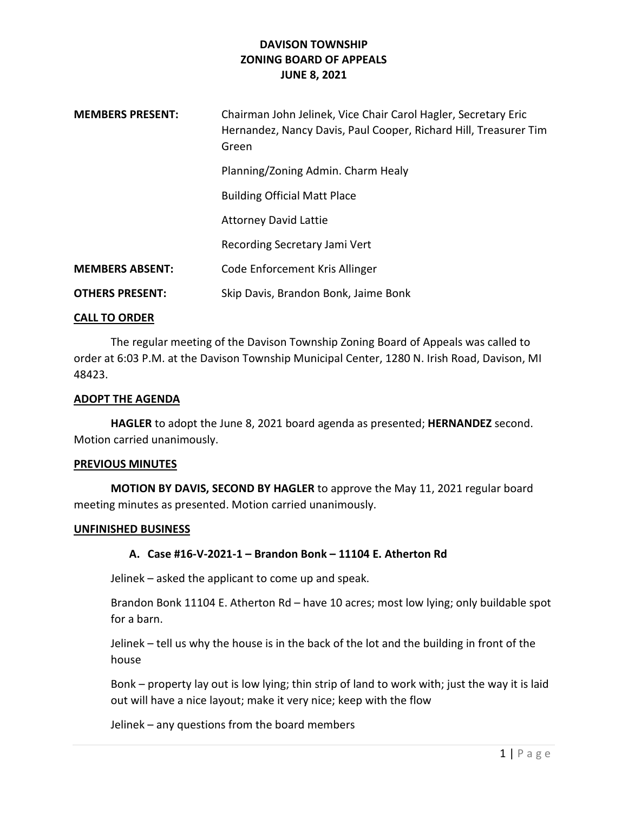# DAVISON TOWNSHIP ZONING BOARD OF APPEALS JUNE 8, 2021

| <b>MEMBERS PRESENT:</b> | Chairman John Jelinek, Vice Chair Carol Hagler, Secretary Eric<br>Hernandez, Nancy Davis, Paul Cooper, Richard Hill, Treasurer Tim<br>Green |
|-------------------------|---------------------------------------------------------------------------------------------------------------------------------------------|
|                         | Planning/Zoning Admin. Charm Healy                                                                                                          |
|                         | <b>Building Official Matt Place</b>                                                                                                         |
|                         | <b>Attorney David Lattie</b>                                                                                                                |
|                         | Recording Secretary Jami Vert                                                                                                               |
| <b>MEMBERS ABSENT:</b>  | Code Enforcement Kris Allinger                                                                                                              |
| <b>OTHERS PRESENT:</b>  | Skip Davis, Brandon Bonk, Jaime Bonk                                                                                                        |

### CALL TO ORDER

 The regular meeting of the Davison Township Zoning Board of Appeals was called to order at 6:03 P.M. at the Davison Township Municipal Center, 1280 N. Irish Road, Davison, MI 48423.

#### ADOPT THE AGENDA

 HAGLER to adopt the June 8, 2021 board agenda as presented; HERNANDEZ second. Motion carried unanimously.

#### PREVIOUS MINUTES

 MOTION BY DAVIS, SECOND BY HAGLER to approve the May 11, 2021 regular board meeting minutes as presented. Motion carried unanimously.

#### UNFINISHED BUSINESS

### A. Case #16-V-2021-1 – Brandon Bonk – 11104 E. Atherton Rd

Jelinek – asked the applicant to come up and speak.

Brandon Bonk 11104 E. Atherton Rd – have 10 acres; most low lying; only buildable spot for a barn.

Jelinek – tell us why the house is in the back of the lot and the building in front of the house

Bonk – property lay out is low lying; thin strip of land to work with; just the way it is laid out will have a nice layout; make it very nice; keep with the flow

Jelinek – any questions from the board members